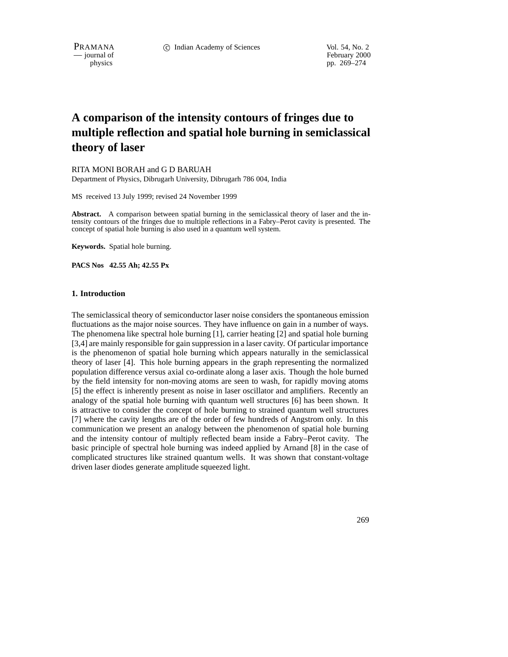PRAMANA 
<sup>C</sup> Indian Academy of Sciences Vol. 54, No. 2<br>
— journal of February 2000

February 2000 physics pp. 269–274

# **A comparison of the intensity contours of fringes due to multiple reflection and spatial hole burning in semiclassical theory of laser**

#### RITA MONI BORAH and G D BARUAH

Department of Physics, Dibrugarh University, Dibrugarh 786 004, India

MS received 13 July 1999; revised 24 November 1999

**Abstract.** A comparison between spatial burning in the semiclassical theory of laser and the intensity contours of the fringes due to multiple reflections in a Fabry–Perot cavity is presented. The concept of spatial hole burning is also used in a quantum well system.

**Keywords.** Spatial hole burning.

**PACS Nos 42.55 Ah; 42.55 Px**

#### **1. Introduction**

The semiclassical theory of semiconductor laser noise considers the spontaneous emission fluctuations as the major noise sources. They have influence on gain in a number of ways. The phenomena like spectral hole burning [1], carrier heating [2] and spatial hole burning [3,4] are mainly responsible for gain suppression in a laser cavity. Of particular importance is the phenomenon of spatial hole burning which appears naturally in the semiclassical theory of laser [4]. This hole burning appears in the graph representing the normalized population difference versus axial co-ordinate along a laser axis. Though the hole burned by the field intensity for non-moving atoms are seen to wash, for rapidly moving atoms [5] the effect is inherently present as noise in laser oscillator and amplifiers. Recently an analogy of the spatial hole burning with quantum well structures [6] has been shown. It is attractive to consider the concept of hole burning to strained quantum well structures [7] where the cavity lengths are of the order of few hundreds of Angstrom only. In this communication we present an analogy between the phenomenon of spatial hole burning and the intensity contour of multiply reflected beam inside a Fabry–Perot cavity. The basic principle of spectral hole burning was indeed applied by Arnand [8] in the case of complicated structures like strained quantum wells. It was shown that constant-voltage driven laser diodes generate amplitude squeezed light.

269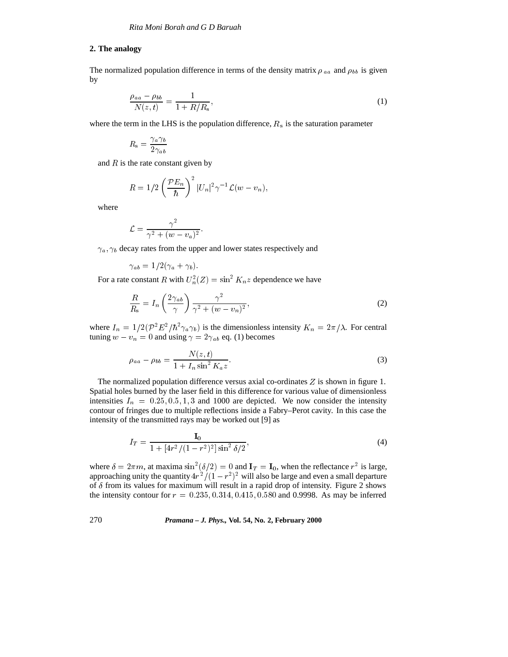### **2. The analogy**

The normalized population difference in terms of the density matrix  $\rho_{aa}$  and  $\rho_{bb}$  is given by

$$
\frac{\rho_{aa} - \rho_{bb}}{N(z,t)} = \frac{1}{1 + R/R_s},\tag{1}
$$

where the term in the LHS is the population difference,  $R_s$  is the saturation parameter

$$
R_{\rm s}=\frac{\gamma_a\gamma_b}{2\gamma_{ab}}
$$

and  $R$  is the rate constant given by

$$
R = 1/2 \left(\frac{\mathcal{P}E_n}{\hbar}\right)^2 |U_n|^2 \gamma^{-1} \mathcal{L}(w - v_n),
$$

where

$$
\mathcal{L} = \frac{\gamma^2}{\gamma^2 + (w - v_a)^2}.
$$

 $\gamma_a, \gamma_b$  decay rates from the upper and lower states respectively and

$$
\gamma_{a b} = 1/2(\gamma_a + \gamma_b).
$$

For a rate constant R with  $U_n^2(Z) = \sin^2 K_n z$  dependence we have

$$
\frac{R}{R_{\rm s}} = I_n \left(\frac{2\gamma_{ab}}{\gamma}\right) \frac{\gamma^2}{\gamma^2 + (w - v_n)^2},\tag{2}
$$

where  $I_n = 1/2(\mathcal{P}^2 E^2/\hbar^2 \gamma_a \gamma_b)$  is the dimensionless intensity  $K_n = 2\pi/\lambda$ . For central tuning  $w - v_n = 0$  and using  $\gamma = 2\gamma_{ab}$  eq. (1) becomes

$$
\rho_{aa} - \rho_{bb} = \frac{N(z, t)}{1 + I_n \sin^2 K_a z}.
$$
\n(3)

The normalized population difference versus axial co-ordinates  $Z$  is shown in figure 1. Spatial holes burned by the laser field in this difference for various value of dimensionless intensities  $I_n = 0.25, 0.5, 1, 3$  and 1000 are depicted. We now consider the intensity contour of fringes due to multiple reflections inside a Fabry–Perot cavity. In this case the intensity of the transmitted rays may be worked out [9] as

$$
I_T = \frac{I_0}{1 + [4r^2/(1 - r^2)^2] \sin^2 \delta/2},\tag{4}
$$

where  $\delta = 2\pi m$ , at maxima  $\sin^2(\delta/2) = 0$  and  $I_T = I_0$ , when the reflectance  $r^2$  is large, approaching unity the quantity  $4r^2/(1 - r^2)^2$  will also be large and even a small departure of  $\delta$  from its values for maximum will result in a rapid drop of intensity. Figure 2 shows the intensity contour for  $r = 0.235, 0.314, 0.415, 0.580$  and 0.9998. As may be inferred

## 270 *Pramana – J. Phys.,* **Vol. 54, No. 2, February 2000**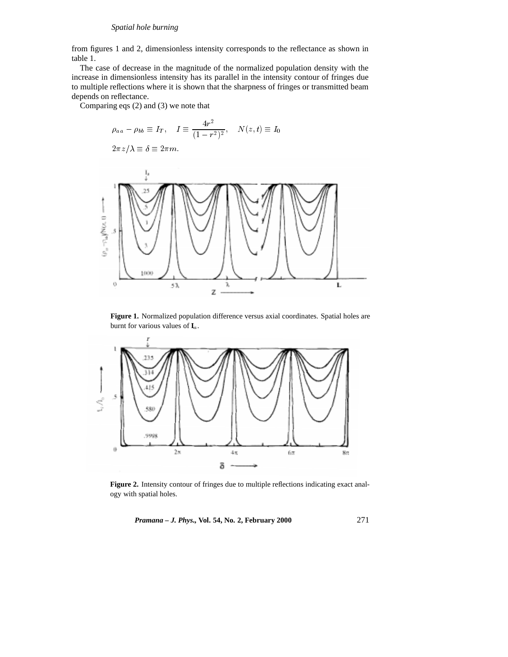## *Spatial hole burning*

from figures 1 and 2, dimensionless intensity corresponds to the reflectance as shown in table 1.

The case of decrease in the magnitude of the normalized population density with the increase in dimensionless intensity has its parallel in the intensity contour of fringes due to multiple reflections where it is shown that the sharpness of fringes or transmitted beam depends on reflectance.

Comparing eqs (2) and (3) we note that

$$
\rho_{aa} - \rho_{bb} \equiv I_T, \quad I \equiv \frac{4r^2}{(1-r^2)^2}, \quad N(z,t) \equiv I_0
$$

 $2\pi z/\lambda \equiv \delta \equiv 2\pi m.$ 



**Figure 1.** Normalized population difference versus axial coordinates. Spatial holes are burnt for various values of **I**a.



**Figure 2.** Intensity contour of fringes due to multiple reflections indicating exact analogy with spatial holes.

*Pramana – J. Phys.,* **Vol. 54, No. 2, February 2000** 271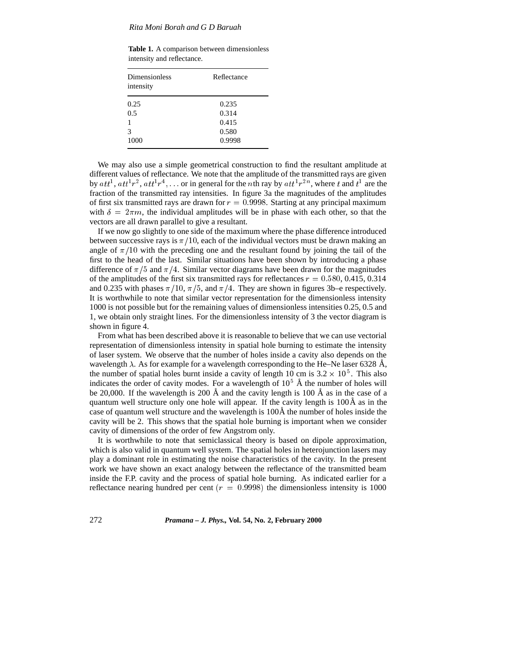**Table 1.** A comparison between dimensionless intensity and reflectance.

| <b>Dimensionless</b><br>intensity | Reflectance |
|-----------------------------------|-------------|
| 0.25                              | 0.235       |
| 0.5                               | 0.314       |
| 1                                 | 0.415       |
| 3                                 | 0.580       |
| 1000                              | 0.9998      |

We may also use a simple geometrical construction to find the resultant amplitude at different values of reflectance. We note that the amplitude of the transmitted rays are given by  $att^1, att^1r^2, att^1r^4, \ldots$  or in general for the nth ray by  $att^1r^{2n}$ , where t and  $t^1$  are the fraction of the transmitted ray intensities. In figure 3a the magnitudes of the amplitudes of first six transmitted rays are drawn for  $r = 0.9998$ . Starting at any principal maximum with  $\delta = 2\pi m$ , the individual amplitudes will be in phase with each other, so that the vectors are all drawn parallel to give a resultant.

If we now go slightly to one side of the maximum where the phase difference introduced between successive rays is  $\pi/10$ , each of the individual vectors must be drawn making an angle of  $\pi/10$  with the preceding one and the resultant found by joining the tail of the first to the head of the last. Similar situations have been shown by introducing a phase difference of  $\pi/5$  and  $\pi/4$ . Similar vector diagrams have been drawn for the magnitudes of the amplitudes of the first six transmitted rays for reflectances  $r = 0.580, 0.415, 0.314$ and 0.235 with phases  $\pi/10$ ,  $\pi/5$ , and  $\pi/4$ . They are shown in figures 3b–e respectively. It is worthwhile to note that similar vector representation for the dimensionless intensity 1000 is not possible but for the remaining values of dimensionless intensities 0.25, 0.5 and 1, we obtain only straight lines. For the dimensionless intensity of 3 the vector diagram is shown in figure 4.

From what has been described above it is reasonable to believe that we can use vectorial representation of dimensionless intensity in spatial hole burning to estimate the intensity of laser system. We observe that the number of holes inside a cavity also depends on the wavelength  $\lambda$ . As for example for a wavelength corresponding to the He–Ne laser 6328 Å, the number of spatial holes burnt inside a cavity of length 10 cm is  $3.2 \times 10^5$ . This also indicates the order of cavity modes. For a wavelength of  $10^5$  Å the number of holes will be 20,000. If the wavelength is 200 Å and the cavity length is 100 Å as in the case of a quantum well structure only one hole will appear. If the cavity length is  $100\text{\AA}$  as in the case of quantum well structure and the wavelength is  $100\text{\AA}$  the number of holes inside the cavity will be 2. This shows that the spatial hole burning is important when we consider cavity of dimensions of the order of few Angstrom only.

It is worthwhile to note that semiclassical theory is based on dipole approximation, which is also valid in quantum well system. The spatial holes in heterojunction lasers may play a dominant role in estimating the noise characteristics of the cavity. In the present work we have shown an exact analogy between the reflectance of the transmitted beam inside the F.P. cavity and the process of spatial hole burning. As indicated earlier for a reflectance nearing hundred per cent  $(r = 0.9998)$  the dimensionless intensity is 1000

272 *Pramana – J. Phys.,* **Vol. 54, No. 2, February 2000**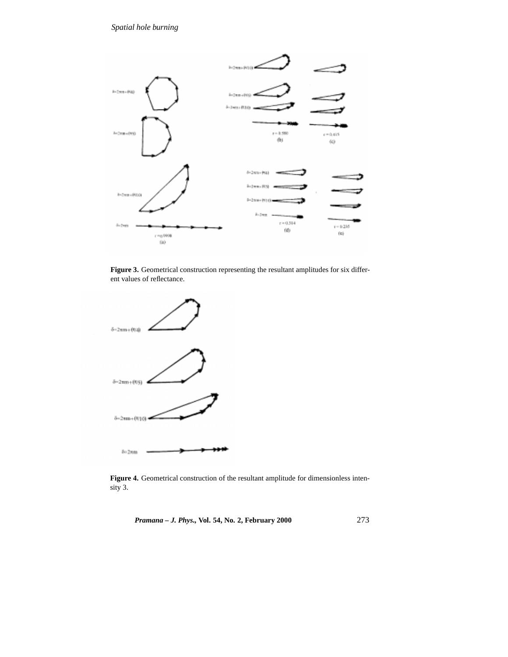## *Spatial hole burning*



Figure 3. Geometrical construction representing the resultant amplitudes for six different values of reflectance.



**Figure 4.** Geometrical construction of the resultant amplitude for dimensionless intensity 3.

*Pramana – J. Phys.,* **Vol. 54, No. 2, February 2000** 273